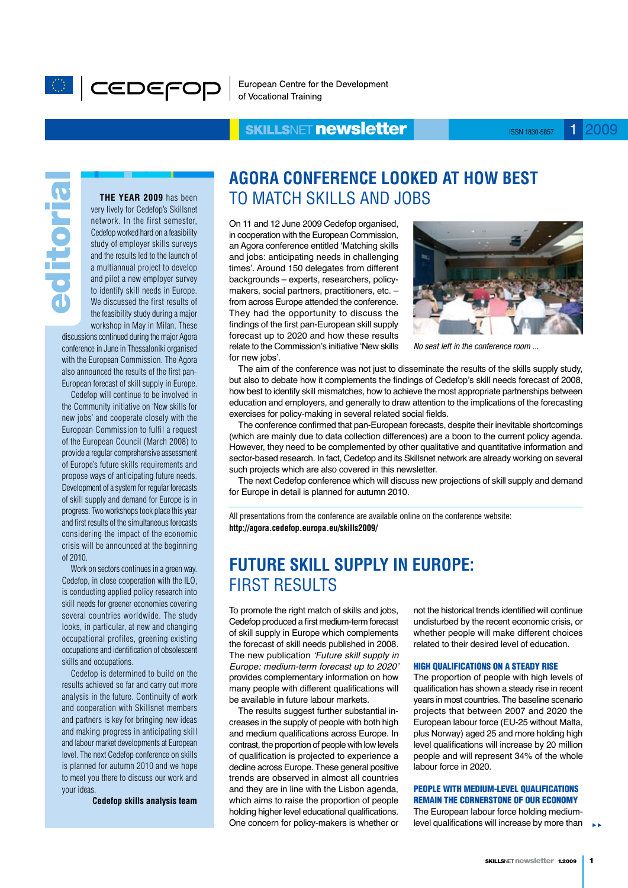

European Centre for the Development of Vocational Training

## **SKILLSNET newsletter**

ISSN 1830-5857 1 2009

editorial editoria

**The year 2009** has been very lively for Cedefop's Skillsnet network. In the first semester, Cedefop worked hard on a feasibility study of employer skills surveys and the results led to the launch of a multiannual project to develop and pilot a new employer survey to identify skill needs in Europe. We discussed the first results of the feasibility study during a major workshop in May in Milan. These

discussions continued during the major Agora conference in June in Thessaloniki organised with the European Commission. The Agora also announced the results of the first pan-European forecast of skill supply in Europe.

Cedefop will continue to be involved in the Community initiative on 'New skills for new jobs' and cooperate closely with the European Commission to fulfil a request of the European Council (March 2008) to provide a regular comprehensive assessment of Europe's future skills requirements and propose ways of anticipating future needs. Development of a system for regular forecasts of skill supply and demand for Europe is in progress. Two workshops took place this year and first results of the simultaneous forecasts considering the impact of the economic crisis will be announced at the beginning of 2010.

Work on sectors continues in a green way. Cedefop, in close cooperation with the ILO, is conducting applied policy research into skill needs for greener economies covering several countries worldwide. The study looks, in particular, at new and changing occupational profiles, greening existing occupations and identification of obsolescent skills and occupations.

Cedefop is determined to build on the results achieved so far and carry out more analysis in the future. Continuity of work and cooperation with Skillsnet members and partners is key for bringing new ideas and making progress in anticipating skill and labour market developments at European level. The next Cedefop conference on skills is planned for autumn 2010 and we hope to meet you there to discuss our work and your ideas.

**Cedefop skills analysis team**

# **Agora conference looked at how best** to match skills and jobs

On 11 and 12 June 2009 Cedefop organised, in cooperation with the European Commission, an Agora conference entitled 'Matching skills and jobs: anticipating needs in challenging times'. Around 150 delegates from different backgrounds – experts, researchers, policymakers, social partners, practitioners, etc. – from across Europe attended the conference. They had the opportunity to discuss the findings of the first pan-European skill supply forecast up to 2020 and how these results relate to the Commission's initiative 'New skills for new jobs'.



*No seat left in the conference room ...*

The aim of the conference was not just to disseminate the results of the skills supply study, but also to debate how it complements the findings of Cedefop's skill needs forecast of 2008, how best to identify skill mismatches, how to achieve the most appropriate partnerships between education and employers, and generally to draw attention to the implications of the forecasting exercises for policy-making in several related social fields.

The conference confirmed that pan-European forecasts, despite their inevitable shortcomings (which are mainly due to data collection differences) are a boon to the current policy agenda. However, they need to be complemented by other qualitative and quantitative information and sector-based research. In fact, Cedefop and its Skillsnet network are already working on several such projects which are also covered in this newsletter.

The next Cedefop conference which will discuss new projections of skill supply and demand for Europe in detail is planned for autumn 2010.

All presentations from the conference are available online on the conference website: **http://agora.cedefop.europa.eu/skills2009/**

# **Future skill supply in Europe:** first results

To promote the right match of skills and jobs, Cedefop produced a first medium-term forecast of skill supply in Europe which complements the forecast of skill needs published in 2008. The new publication *'Future skill supply in Europe: medium-term forecast up to 2020'*  provides complementary information on how many people with different qualifications will be available in future labour markets.

The results suggest further substantial increases in the supply of people with both high and medium qualifications across Europe. In contrast, the proportion of people with low levels of qualification is projected to experience a decline across Europe. These general positive trends are observed in almost all countries and they are in line with the Lisbon agenda, which aims to raise the proportion of people holding higher level educational qualifications. One concern for policy-makers is whether or not the historical trends identified will continue undisturbed by the recent economic crisis, or whether people will make different choices related to their desired level of education.

#### High qualifications on a steady rise

The proportion of people with high levels of qualification has shown a steady rise in recent years in most countries. The baseline scenario projects that between 2007 and 2020 the European labour force (EU-25 without Malta, plus Norway) aged 25 and more holding high level qualifications will increase by 20 million people and will represent 34% of the whole labour force in 2020.

### People with medium-level qualifications remain the cornerstone of our economy

The European labour force holding mediumlevel qualifications will increase by more than **►►**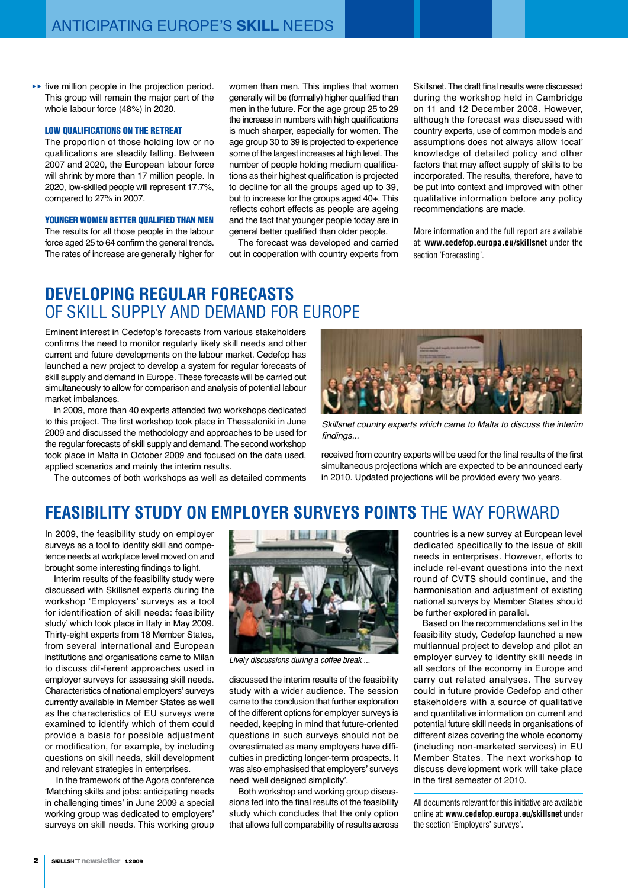five million people in the projection period. **►►** This group will remain the major part of the whole labour force (48%) in 2020.

#### Low qualifications on the retreat

The proportion of those holding low or no qualifications are steadily falling. Between 2007 and 2020, the European labour force will shrink by more than 17 million people. In 2020, low-skilled people will represent 17.7%, compared to 27% in 2007.

#### YOUNGER WOMEN BETTER QUALIFIED THAN MEN

The results for all those people in the labour force aged 25 to 64 confirm the general trends. The rates of increase are generally higher for women than men. This implies that women generally will be (formally) higher qualified than men in the future. For the age group 25 to 29 the increase in numbers with high qualifications is much sharper, especially for women. The age group 30 to 39 is projected to experience some of the largest increases at high level. The number of people holding medium qualifications as their highest qualification is projected to decline for all the groups aged up to 39, but to increase for the groups aged 40+. This reflects cohort effects as people are ageing and the fact that younger people today are in general better qualified than older people.

The forecast was developed and carried out in cooperation with country experts from Skillsnet. The draft final results were discussed during the workshop held in Cambridge on 11 and 12 December 2008. However, although the forecast was discussed with country experts, use of common models and assumptions does not always allow 'local' knowledge of detailed policy and other factors that may affect supply of skills to be incorporated. The results, therefore, have to be put into context and improved with other qualitative information before any policy recommendations are made.

More information and the full report are available at: **www.cedefop.europa.eu/skillsnet** under the section 'Forecasting'.

## **Developing regular forecasts** of skill supply and demand for Europe

Eminent interest in Cedefop's forecasts from various stakeholders confirms the need to monitor regularly likely skill needs and other current and future developments on the labour market. Cedefop has launched a new project to develop a system for regular forecasts of skill supply and demand in Europe. These forecasts will be carried out simultaneously to allow for comparison and analysis of potential labour market imbalances.

In 2009, more than 40 experts attended two workshops dedicated to this project. The first workshop took place in Thessaloniki in June 2009 and discussed the methodology and approaches to be used for the regular forecasts of skill supply and demand. The second workshop took place in Malta in October 2009 and focused on the data used, applied scenarios and mainly the interim results.

The outcomes of both workshops as well as detailed comments



*Skillsnet country experts which came to Malta to discuss the interim*  findings...

received from country experts will be used for the final results of the first simultaneous projections which are expected to be announced early in 2010. Updated projections will be provided every two years.

## **Feasibility study on employer surveys points** the way forward

In 2009, the feasibility study on employer surveys as a tool to identify skill and competence needs at workplace level moved on and brought some interesting findings to light.

Interim results of the feasibility study were discussed with Skillsnet experts during the workshop 'Employers' surveys as a tool for identification of skill needs: feasibility study' which took place in Italy in May 2009. Thirty-eight experts from 18 Member States, from several international and European institutions and organisations came to Milan to discuss dif-ferent approaches used in employer surveys for assessing skill needs. Characteristics of national employers' surveys currently available in Member States as well as the characteristics of EU surveys were examined to identify which of them could provide a basis for possible adjustment or modification, for example, by including questions on skill needs, skill development and relevant strategies in enterprises.

 In the framework of the Agora conference 'Matching skills and jobs: anticipating needs in challenging times' in June 2009 a special working group was dedicated to employers' surveys on skill needs. This working group



*Lively discussions during a coffee break ...*

discussed the interim results of the feasibility study with a wider audience. The session came to the conclusion that further exploration of the different options for employer surveys is needed, keeping in mind that future-oriented questions in such surveys should not be overestimated as many employers have difficulties in predicting longer-term prospects. It was also emphasised that employers' surveys need 'well designed simplicity'.

Both workshop and working group discussions fed into the final results of the feasibility study which concludes that the only option that allows full comparability of results across countries is a new survey at European level dedicated specifically to the issue of skill needs in enterprises. However, efforts to include rel-evant questions into the next round of CVTS should continue, and the harmonisation and adjustment of existing national surveys by Member States should be further explored in parallel.

Based on the recommendations set in the feasibility study, Cedefop launched a new multiannual project to develop and pilot an employer survey to identify skill needs in all sectors of the economy in Europe and carry out related analyses. The survey could in future provide Cedefop and other stakeholders with a source of qualitative and quantitative information on current and potential future skill needs in organisations of different sizes covering the whole economy (including non-marketed services) in EU Member States. The next workshop to discuss development work will take place in the first semester of 2010.

All documents relevant for this initiative are available online at: **www.cedefop.europa.eu/skillsnet** under the section 'Employers' surveys'.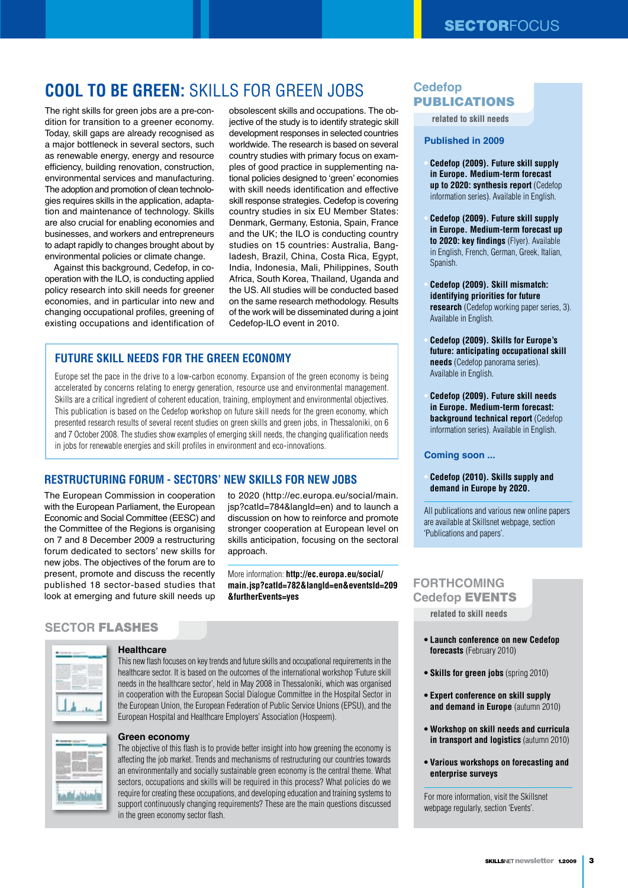# **Cool to be green:** skills for green jobs

The right skills for green jobs are a pre-condition for transition to a greener economy. Today, skill gaps are already recognised as a major bottleneck in several sectors, such as renewable energy, energy and resource efficiency, building renovation, construction, environmental services and manufacturing. The adoption and promotion of clean technologies requires skills in the application, adaptation and maintenance of technology. Skills are also crucial for enabling economies and businesses, and workers and entrepreneurs to adapt rapidly to changes brought about by environmental policies or climate change.

Against this background, Cedefop, in cooperation with the ILO, is conducting applied policy research into skill needs for greener economies, and in particular into new and changing occupational profiles, greening of existing occupations and identification of

obsolescent skills and occupations. The objective of the study is to identify strategic skill development responses in selected countries worldwide. The research is based on several country studies with primary focus on examples of good practice in supplementing national policies designed to 'green' economies with skill needs identification and effective skill response strategies. Cedefop is covering country studies in six EU Member States: Denmark, Germany, Estonia, Spain, France and the UK; the ILO is conducting country studies on 15 countries: Australia, Bangladesh, Brazil, China, Costa Rica, Egypt, India, Indonesia, Mali, Philippines, South Africa, South Korea, Thailand, Uganda and the US. All studies will be conducted based on the same research methodology. Results of the work will be disseminated during a joint Cedefop-ILO event in 2010.

## **Future skill needs for the green economy**

Europe set the pace in the drive to a low-carbon economy. Expansion of the green economy is being accelerated by concerns relating to energy generation, resource use and environmental management. Skills are a critical ingredient of coherent education, training, employment and environmental objectives. This publication is based on the Cedefop workshop on future skill needs for the green economy, which presented research results of several recent studies on green skills and green jobs, in Thessaloniki, on 6 and 7 October 2008. The studies show examples of emerging skill needs, the changing qualification needs in jobs for renewable energies and skill profiles in environment and eco-innovations.

## **Restructuring forum - Sectors' new skills for new jobs**

The European Commission in cooperation with the European Parliament, the European Economic and Social Committee (EESC) and the Committee of the Regions is organising on 7 and 8 December 2009 a restructuring forum dedicated to sectors' new skills for new jobs. The objectives of the forum are to present, promote and discuss the recently published 18 sector-based studies that look at emerging and future skill needs up

to 2020 (http://ec.europa.eu/social/main. jsp?catId=784&langId=en) and to launch a discussion on how to reinforce and promote stronger cooperation at European level on skills anticipation, focusing on the sectoral approach.

More information: **http://ec.europa.eu/social/ main.jsp?catId=782&langId=en&eventsId=209 &furtherEvents=yes**

## **SECTOR** FLASHES



#### **Healthcare**

**Green economy**

This new flash focuses on key trends and future skills and occupational requirements in the healthcare sector. It is based on the outcomes of the international workshop 'Future skill needs in the healthcare sector', held in May 2008 in Thessaloniki, which was organised in cooperation with the European Social Dialogue Committee in the Hospital Sector in the European Union, the European Federation of Public Service Unions (EPSU), and the European Hospital and Healthcare Employers' Association (Hospeem).

The objective of this flash is to provide better insight into how greening the economy is affecting the job market. Trends and mechanisms of restructuring our countries towards an environmentally and socially sustainable green economy is the central theme. What sectors, occupations and skills will be required in this process? What policies do we require for creating these occupations, and developing education and training systems to support continuously changing requirements? These are the main questions discussed in the green economy sector flash.

## **Cedefop** PUBLICATIONS

**related to skill needs**

#### **Published in 2009**

- **Cedefop (2009). Future skill supply in Europe. Medium-term forecast up to 2020: synthesis report** (Cedefop information series). Available in English.
- **Cedefop (2009). Future skill supply in Europe. Medium-term forecast up to 2020: key findings** (Flyer). Available in English, French, German, Greek, Italian, Spanish.
- **Cedefop (2009). Skill mismatch: identifying priorities for future research** (Cedefop working paper series, 3). Available in English.
- **Cedefop (2009). Skills for Europe's future: anticipating occupational skill needs** (Cedefop panorama series). Available in English.
- **Cedefop (2009). Future skill needs in Europe. Medium-term forecast: background technical report** (Cedefop information series). Available in English.

#### **Coming soon ...**

**• Cedefop (2010). Skills supply and demand in Europe by 2020.**

All publications and various new online papers are available at Skillsnet webpage, section 'Publications and papers'.

## **FORTHCOMING Cedefop** EVENTS

**related to skill needs**

- **Launch conference on new Cedefop forecasts** (February 2010)
- **Skills for green jobs** (spring 2010)
- **Expert conference on skill supply and demand in Europe** (autumn 2010)
- **Workshop on skill needs and curricula in transport and logistics** (autumn 2010)
- **Various workshops on forecasting and enterprise surveys**

For more information, visit the Skillsnet webpage regularly, section 'Events'.